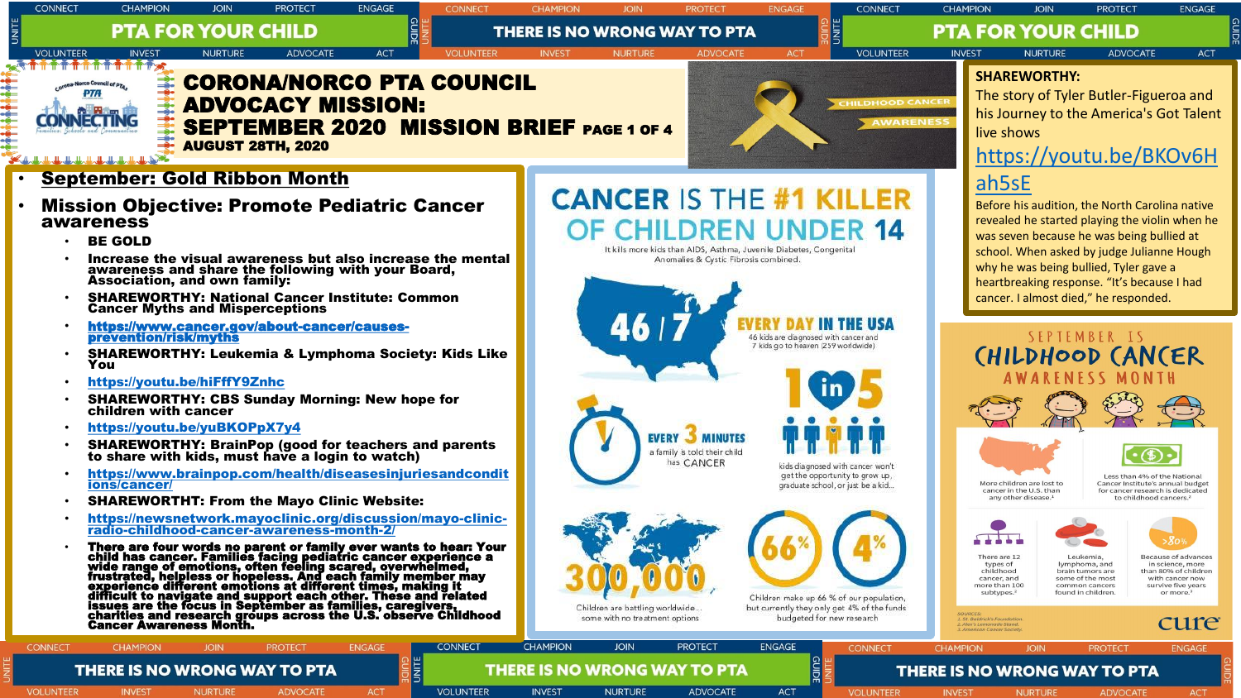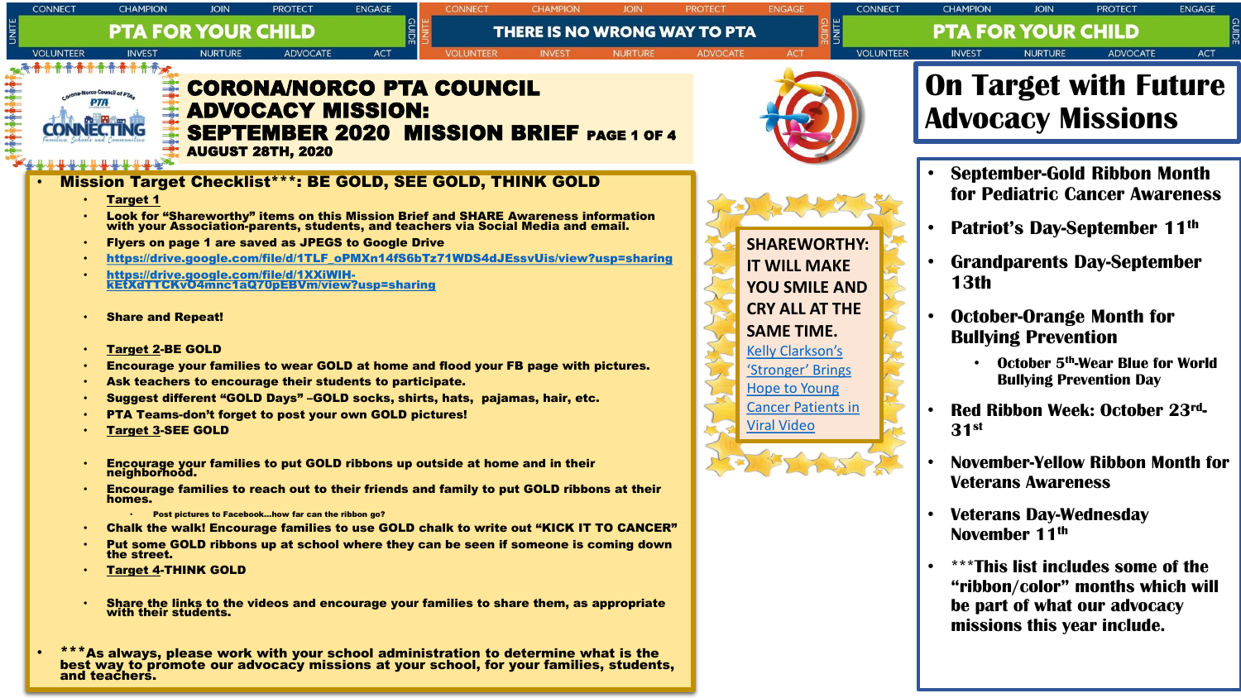| <b>CONNECT</b>                                                                                                                             | <b>CHAMPION</b>                                                                                                                                                                                                                                                                                                                                                                                                                                   | JOIN           | <b>PROTECT</b>                                      | <b>ENGAGE</b> |                  |                                                                                                                                                                                                                                                                                                                                                                                                                                                                                                                                                                                                                                                                                                                                                                                                                                                                            |                |                 |                                                                                                                                                                                                                                             | <b>CONNECT</b>   | <b>CHAMPION</b>                                          | JOIN                                                                                                                  | <b>PROTECT</b>                                                                                                                                                                                                                                                                                                                                                                           | <b>ENGAGE</b> |  |  |
|--------------------------------------------------------------------------------------------------------------------------------------------|---------------------------------------------------------------------------------------------------------------------------------------------------------------------------------------------------------------------------------------------------------------------------------------------------------------------------------------------------------------------------------------------------------------------------------------------------|----------------|-----------------------------------------------------|---------------|------------------|----------------------------------------------------------------------------------------------------------------------------------------------------------------------------------------------------------------------------------------------------------------------------------------------------------------------------------------------------------------------------------------------------------------------------------------------------------------------------------------------------------------------------------------------------------------------------------------------------------------------------------------------------------------------------------------------------------------------------------------------------------------------------------------------------------------------------------------------------------------------------|----------------|-----------------|---------------------------------------------------------------------------------------------------------------------------------------------------------------------------------------------------------------------------------------------|------------------|----------------------------------------------------------|-----------------------------------------------------------------------------------------------------------------------|------------------------------------------------------------------------------------------------------------------------------------------------------------------------------------------------------------------------------------------------------------------------------------------------------------------------------------------------------------------------------------------|---------------|--|--|
|                                                                                                                                            | <b>PTA FOR YOUR CHILD</b><br><b>THERE IS NO WRONG WAY TO PTA</b>                                                                                                                                                                                                                                                                                                                                                                                  |                |                                                     |               |                  |                                                                                                                                                                                                                                                                                                                                                                                                                                                                                                                                                                                                                                                                                                                                                                                                                                                                            |                |                 |                                                                                                                                                                                                                                             |                  | <b>PTA FOR YOUR CHILD</b>                                |                                                                                                                       |                                                                                                                                                                                                                                                                                                                                                                                          |               |  |  |
| <b>VOLUNTEER</b>                                                                                                                           | <b>INVEST</b>                                                                                                                                                                                                                                                                                                                                                                                                                                     | <b>NURTURE</b> | <b>ADVOCATE</b>                                     | <b>ACT</b>    | <b>VOLUNTEER</b> | <b>INVEST</b>                                                                                                                                                                                                                                                                                                                                                                                                                                                                                                                                                                                                                                                                                                                                                                                                                                                              | <b>NURTURE</b> | <b>ADVOCATE</b> | <b>ACT</b>                                                                                                                                                                                                                                  | <b>VOLUNTEER</b> | <b>INVEST</b>                                            | <b>NURTURE</b>                                                                                                        | <b>ADVOCATE</b>                                                                                                                                                                                                                                                                                                                                                                          | <b>ACT</b>    |  |  |
| <b>CORONA/NORCO PTA COUNCIL</b><br><b>ADVOCACY MISSION:</b><br><b>SEPTEMBER 2020 MISSION BRIEF PAGE 1 OF 4</b><br><b>AUGUST 28TH, 2020</b> |                                                                                                                                                                                                                                                                                                                                                                                                                                                   |                |                                                     |               |                  |                                                                                                                                                                                                                                                                                                                                                                                                                                                                                                                                                                                                                                                                                                                                                                                                                                                                            |                |                 |                                                                                                                                                                                                                                             |                  | <b>On Target with Future</b><br><b>Advocacy Missions</b> |                                                                                                                       |                                                                                                                                                                                                                                                                                                                                                                                          |               |  |  |
|                                                                                                                                            |                                                                                                                                                                                                                                                                                                                                                                                                                                                   |                |                                                     |               |                  |                                                                                                                                                                                                                                                                                                                                                                                                                                                                                                                                                                                                                                                                                                                                                                                                                                                                            |                |                 |                                                                                                                                                                                                                                             |                  |                                                          |                                                                                                                       |                                                                                                                                                                                                                                                                                                                                                                                          |               |  |  |
|                                                                                                                                            | <b>Target 1</b><br>Flyers on page 1 are saved as JPEGS to Google Drive<br>https://drive.google.com/file/d/1XXiWIH-<br>kEtXdTTCKv04mnc1aQ70pEBVm/view?usp=sharing<br><b>Share and Repeat!</b><br><b>Target 2-BE GOLD</b><br>Ask teachers to encourage their students to participate.<br>PTA Teams-don't forget to post your own GOLD pictures!<br><b>Target 3-SEE GOLD</b><br>neighborhood.<br>homes.<br>the street.<br><b>Target 4-THINK GOLD</b> |                | Post pictures to Facebookhow far can the ribbon go? |               |                  | <b>Mission Target Checklist***: BE GOLD, SEE GOLD, THINK GOLD</b><br>Look for "Shareworthy" items on this Mission Brief and SHARE Awareness information<br>with your Association-parents, students, and teachers via Social Media and email.<br>https://drive.google.com/file/d/1TLF_oPMXn14fS6bTz71WDS4dJEssvUis/view?usp=sharing<br>Encourage your families to wear GOLD at home and flood your FB page with pictures.<br>Suggest different "GOLD Days" -GOLD socks, shirts, hats, pajamas, hair, etc.<br>Encourage your families to put GOLD ribbons up outside at home and in their<br>Encourage families to reach out to their friends and family to put GOLD ribbons at their<br><b>Chalk the walk! Encourage families to use GOLD chalk to write out "KICK IT TO CANCER"</b><br>Put some GOLD ribbons up at school where they can be seen if someone is coming down |                |                 | <b>SHAREWORTHY:</b><br><b>IT WILL MAKE</b><br><b>YOU SMILE AND</b><br><b>CRY ALL AT THE</b><br><b>SAME TIME.</b><br><b>Kelly Clarkson's</b><br>'Stronger' Brings<br><b>Hope to Young</b><br><b>Cancer Patients in</b><br><b>Viral Video</b> |                  | <b>13th</b><br>31 <sup>st</sup>                          | <b>Bullving Prevention</b><br><b>Veterans Awareness</b><br><b>Veterans Day-Wednesday</b><br>November 11 <sup>th</sup> | <b>September-Gold Ribbon Month</b><br><b>for Pediatric Cancer Awareness</b><br><b>Patriot's Day-September 11th</b><br><b>Grandparents Day-September</b><br><b>October-Orange Month for</b><br><b>October 5th-Wear Blue for World</b><br><b>Bullying Prevention Day</b><br>Red Ribbon Week: October 23rd-<br><b>November-Yellow Ribbon Month for</b><br>***This list includes some of the |               |  |  |
|                                                                                                                                            |                                                                                                                                                                                                                                                                                                                                                                                                                                                   |                |                                                     |               |                  | Share the links to the videos and encourage your families to share them, as appropriate with their students.                                                                                                                                                                                                                                                                                                                                                                                                                                                                                                                                                                                                                                                                                                                                                               |                |                 |                                                                                                                                                                                                                                             |                  |                                                          |                                                                                                                       | "ribbon/color" months which will<br>be part of what our advocacy<br>missions this year include.                                                                                                                                                                                                                                                                                          |               |  |  |
|                                                                                                                                            |                                                                                                                                                                                                                                                                                                                                                                                                                                                   |                |                                                     |               |                  | ***As always, please work with your school administration to determine what is the<br>best way to promote our advocacy missions at your school, for your families, students,                                                                                                                                                                                                                                                                                                                                                                                                                                                                                                                                                                                                                                                                                               |                |                 |                                                                                                                                                                                                                                             |                  |                                                          |                                                                                                                       |                                                                                                                                                                                                                                                                                                                                                                                          |               |  |  |

and teachers.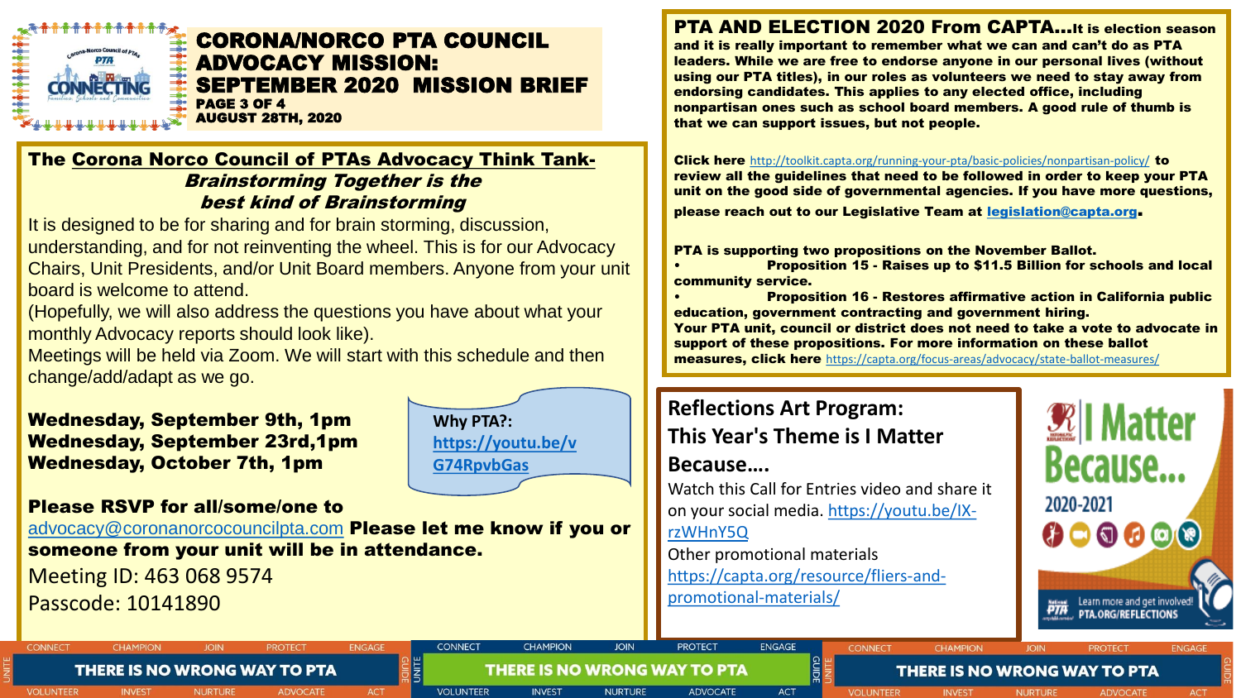

#### CORONA/NORCO PTA COUNCIL ADVOCACY MISSION: SEPTEMBER 2020 MISSION BRIEF PAGE 3 OF 4 AUGUST 28TH, 2020

**Why PTA?:** 

**G74RpvbGas**

**CONNECT** 

**VOLUNTEER** 

**[https://youtu.be/v](https://youtu.be/vG74RpvbGas)**

**CHAMPION** 

**INVEST** 

**JOIN** 

**NURTURE** 

**THERE IS NO WRONG WAY TO PTA** 

### The Corona Norco Council of PTAs Advocacy Think Tank-Brainstorming Together is the best kind of Brainstorming

It is designed to be for sharing and for brain storming, discussion, understanding, and for not reinventing the wheel. This is for our Advocacy Chairs, Unit Presidents, and/or Unit Board members. Anyone from your unit board is welcome to attend.

(Hopefully, we will also address the questions you have about what your monthly Advocacy reports should look like).

Meetings will be held via Zoom. We will start with this schedule and then change/add/adapt as we go.

### Wednesday, September 9th, 1pm Wednesday, September 23rd,1pm Wednesday, October 7th, 1pm

### Please RSVP for all/some/one to

**JOIN** 

**NURTURE** 

**THERE IS NO WRONG WAY TO PTA** 

**PROTECT** 

**ADVOCATE** 

[advocacy@coronanorcocouncilpta.com](mailto:advocacy@coronanorcocouncilpta.com) **Please let me know if you or** someone from your unit will be in attendance.

**ENGAGI** 

 $AC$ 

Meeting ID: 463 068 9574 Passcode: 10141890

**CHAMPION** 

**INVEST** 

**CONNECT** 

**VOLUNTEER** 

PTA AND ELECTION 2020 From CAPTA…It is election season and it is really important to remember what we can and can't do as PTA leaders. While we are free to endorse anyone in our personal lives (without using our PTA titles), in our roles as volunteers we need to stay away from endorsing candidates. This applies to any elected office, including nonpartisan ones such as school board members. A good rule of thumb is that we can support issues, but not people.

Click here <http://toolkit.capta.org/running-your-pta/basic-policies/nonpartisan-policy/> to review all the guidelines that need to be followed in order to keep your PTA unit on the good side of governmental agencies. If you have more questions, please reach out to our Legislative Team at [legislation@capta.org](mailto:legislation@capta.org).

PTA is supporting two propositions on the November Ballot.

• Proposition 15 - Raises up to \$11.5 Billion for schools and local community service.

• Proposition 16 - Restores affirmative action in California public education, government contracting and government hiring. Your PTA unit, council or district does not need to take a vote to advocate in support of these propositions. For more information on these ballot measures, click here <https://capta.org/focus-areas/advocacy/state-ballot-measures/>

**CHAMPION** 

**INVEST** 

**THERE IS NO WRONG WAY TO PTA** 

## **Reflections Art Program: This Year's Theme is I Matter**

**Because….**

**PROTECT** 

**ADVOCATE** 

Watch this Call for Entries video and share it [on your social media. https://youtu.be/IX](https://youtu.be/IX-rzWHnY5Q)rzWHnY5Q

**CONNECT** 

**VOLUNTEER** 

Other promotional materials [https://capta.org/resource/fliers-and](https://capta.org/resource/fliers-and-promotional-materials/)promotional-materials/

**ENGAGE** 

**ACT** 



**ACT**